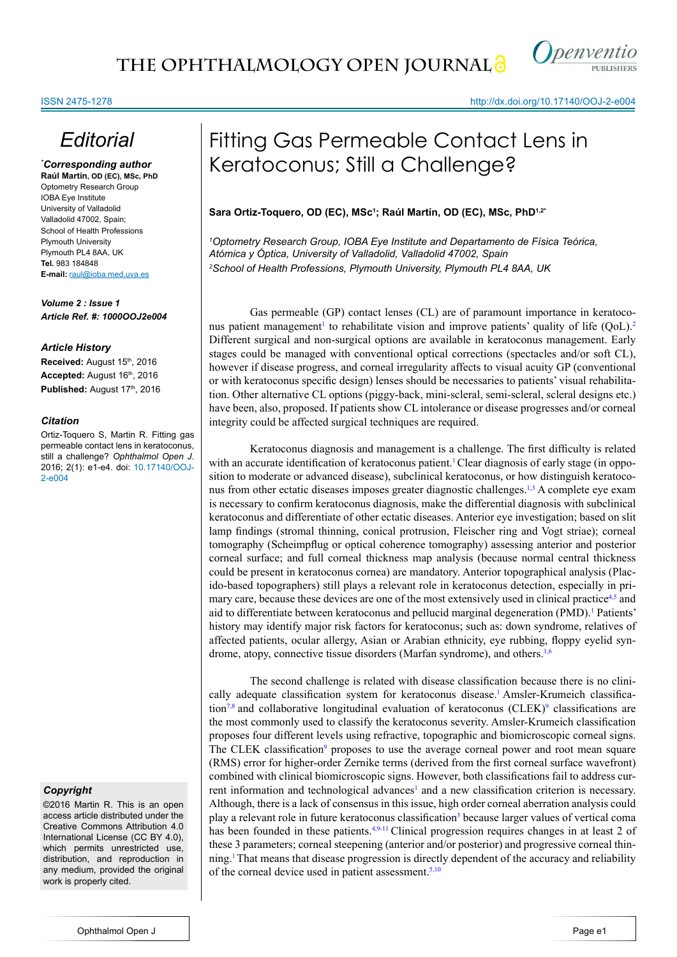

http://dx.doi.org/10.17140/OOJ-2-e004

# *Editorial*

*\* Corresponding author* **Raúl Martín, OD (EC), MSc, PhD** Optometry Research Group IOBA Eye Institute University of Valladolid Valladolid 47002, Spain; School of Health Professions Plymouth University Plymouth PL4 8AA, UK **Tel.** 983 184848 **E-mail:** raul@ioba.med.uva.es

*Volume 2 : Issue 1 Article Ref. #: 1000OOJ2e004*

## *Article History*

Received: August 15<sup>th</sup>, 2016 Accepted: August 16<sup>th</sup>, 2016 Published: August 17th, 2016

## *Citation*

Ortiz-Toquero S, Martin R. Fitting gas permeable contact lens in keratoconus, still a challenge? *Ophthalmol Open J*. 2016; 2(1): e1-e4. doi: 10.17140/OOJ-2-e004

## *Copyright*

©2016 Martin R. This is an open access article distributed under the Creative Commons Attribution 4.0 International License (CC BY 4.0), which permits unrestricted use, distribution, and reproduction in any medium, provided the original work is properly cited.

# Fitting Gas Permeable Contact Lens in Keratoconus; Still a Challenge?

**Sara Ortiz-Toquero, OD (EC), MSc1 ; Raúl Martín, OD (EC), MSc, PhD1,2\***

*1 Optometry Research Group, IOBA Eye Institute and Departamento de Física Teórica, Atómica y Óptica, University of Valladolid, Valladolid 47002, Spain 2 School of Health Professions, Plymouth University, Plymouth PL4 8AA, UK*

Gas permeable (GP) contact lenses (CL) are of paramount importance in keratoconus patient management<sup>1</sup> to rehabilitate vision and improve patients' quality of life (QoL).<sup>2</sup> Different surgical and non-surgical options are available in keratoconus management. Early stages could be managed with conventional optical corrections (spectacles and/or soft CL), however if disease progress, and corneal irregularity affects to visual acuity GP (conventional or with keratoconus specific design) lenses should be necessaries to patients' visual rehabilitation. Other alternative CL options (piggy-back, mini-scleral, semi-scleral, scleral designs etc.) have been, also, proposed. If patients show CL intolerance or disease progresses and/or corneal integrity could be affected surgical techniques are required.

Keratoconus diagnosis and management is a challenge. The first difficulty is related with an accurate identification of keratoconus patient.<sup>[1](#page-1-0)</sup> Clear diagnosis of early stage (in opposition to moderate or advanced disease), subclinical keratoconus, or how distinguish keratoconus from other ectatic diseases imposes greater diagnostic challenges[.1,3](#page-1-0) A complete eye exam is necessary to confirm keratoconus diagnosis, make the differential diagnosis with subclinical keratoconus and differentiate of other ectatic diseases. Anterior eye investigation; based on slit lamp findings (stromal thinning, conical protrusion, Fleischer ring and Vogt striae); corneal tomography (Scheimpflug or optical coherence tomography) assessing anterior and posterior corneal surface; and full corneal thickness map analysis (because normal central thickness could be present in keratoconus cornea) are mandatory. Anterior topographical analysis (Placido-based topographers) still plays a relevant role in keratoconus detection, especially in primary care, because these devices are one of the most extensively used in clinical practice<sup>4,5</sup> and aid to differentiate between keratoconus and pellucid marginal degeneration (PMD).<sup>[1](#page-1-0)</sup> Patients' history may identify major risk factors for keratoconus; such as: down syndrome, relatives of affected patients, ocular allergy, Asian or Arabian ethnicity, eye rubbing, floppy eyelid syn-drome, atopy, connective tissue disorders (Marfan syndrome), and others.<sup>1,[6](#page-2-0)</sup>

The second challenge is related with disease classification because there is no clini-cally adequate classification system for keratoconus disease.<sup>[1](#page-1-0)</sup> Amsler-Krumeich classifica-tion<sup>7,8</sup> and collaborative longitudinal evaluation of keratoconus (CLEK)<sup>[9](#page-2-2)</sup> classifications are the most commonly used to classify the keratoconus severity. Amsler-Krumeich classification proposes four different levels using refractive, topographic and biomicroscopic corneal signs. The CLEK classification<sup>[9](#page-2-2)</sup> proposes to use the average corneal power and root mean square (RMS) error for higher-order Zernike terms (derived from the first corneal surface wavefront) combined with clinical biomicroscopic signs. However, both classifications fail to address cur-rent information and technological advances<sup>[1](#page-1-0)</sup> and a new classification criterion is necessary. Although, there is a lack of consensus in this issue, high order corneal aberration analysis could play a relevant role in future keratoconus classification<sup>[3](#page-1-3)</sup> because larger values of vertical coma has been founded in these patients.<sup>4[,9-11](#page-2-2)</sup> Clinical progression requires changes in at least 2 of these 3 parameters; corneal steepening (anterior and/or posterior) and progressive corneal thinning[.1](#page-1-0)That means that disease progression is directly dependent of the accuracy and reliability of the corneal device used in patient assessment. $5,10$  $5,10$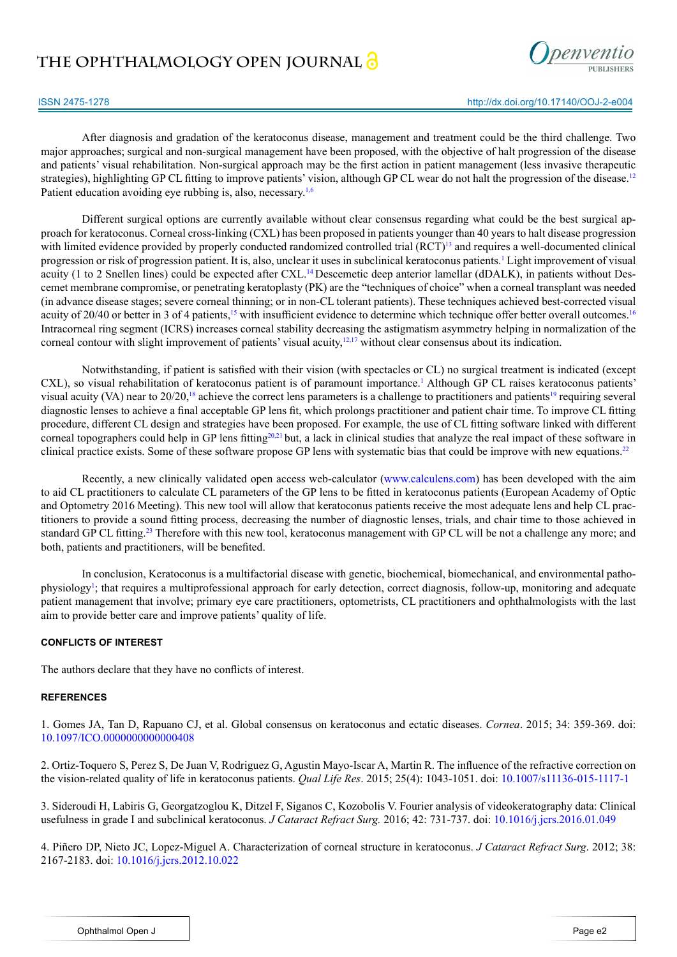## **THE OPHTHALMOLOGY OPEN JOURNAL**



After diagnosis and gradation of the keratoconus disease, management and treatment could be the third challenge. Two major approaches; surgical and non-surgical management have been proposed, with the objective of halt progression of the disease and patients' visual rehabilitation. Non-surgical approach may be the first action in patient management (less invasive therapeutic strategies), highlighting GP CL fitting to improve patients' vision, although GP CL wear do not halt the progression of the disease.<sup>[12](#page-2-5)</sup> Patient education avoiding eye rubbing is, also, necessary.<sup>[1,](#page-1-0)[6](#page-2-0)</sup>

Different surgical options are currently available without clear consensus regarding what could be the best surgical approach for keratoconus. Corneal cross-linking (CXL) has been proposed in patients younger than 40 years to halt disease progression with limited evidence provided by properly conducted randomized controlled trial (RCT)<sup>13</sup> and requires a well-documented clinical progression or risk of progression patient. It is, also, unclear it uses in subclinical keratoconus patients.<sup>[1](#page-1-0)</sup> Light improvement of visual acuity (1 to 2 Snellen lines) could be expected after CXL.[14](#page-2-7) Descemetic deep anterior lamellar (dDALK), in patients without Descemet membrane compromise, or penetrating keratoplasty (PK) are the "techniques of choice" when a corneal transplant was needed (in advance disease stages; severe corneal thinning; or in non-CL tolerant patients). These techniques achieved best-corrected visual acuity of 20/40 or better in 3 of 4 patients,<sup>[15](#page-2-8)</sup> with insufficient evidence to determine which technique offer better overall outcomes.<sup>[16](#page-2-9)</sup> Intracorneal ring segment (ICRS) increases corneal stability decreasing the astigmatism asymmetry helping in normalization of the corneal contour with slight improvement of patients' visual acuity,<sup>12,17</sup> without clear consensus about its indication.

Notwithstanding, if patient is satisfied with their vision (with spectacles or CL) no surgical treatment is indicated (except CXL), so visual rehabilitation of keratoconus patient is of paramount importance.[1](#page-1-0) Although GP CL raises keratoconus patients' visual acuity (VA) near to  $20/20$ ,<sup>[18](#page-2-11)</sup> achieve the correct lens parameters is a challenge to practitioners and patients<sup>19</sup> requiring several diagnostic lenses to achieve a final acceptable GP lens fit, which prolongs practitioner and patient chair time. To improve CL fitting procedure, different CL design and strategies have been proposed. For example, the use of CL fitting software linked with different corneal topographers could help in GP lens fitting<sup>[20,21](#page-2-13)</sup> but, a lack in clinical studies that analyze the real impact of these software in clinical practice exists. Some of these software propose GP lens with systematic bias that could be improve with new equations[.22](#page-2-14)

Recently, a new clinically validated open access web-calculator ([www.calculens.com](http://www.calculens.com)) has been developed with the aim to aid CL practitioners to calculate CL parameters of the GP lens to be fitted in keratoconus patients (European Academy of Optic and Optometry 2016 Meeting). This new tool will allow that keratoconus patients receive the most adequate lens and help CL practitioners to provide a sound fitting process, decreasing the number of diagnostic lenses, trials, and chair time to those achieved in standard GP CL fitting.<sup>23</sup> Therefore with this new tool, keratoconus management with GP CL will be not a challenge any more; and both, patients and practitioners, will be benefited.

In conclusion, Keratoconus is a multifactorial disease with genetic, biochemical, biomechanical, and environmental pathophysiology<sup>1</sup>; that requires a multiprofessional approach for early detection, correct diagnosis, follow-up, monitoring and adequate patient management that involve; primary eye care practitioners, optometrists, CL practitioners and ophthalmologists with the last aim to provide better care and improve patients' quality of life.

## **CONFLICTS OF INTEREST**

The authors declare that they have no conflicts of interest.

### **REFERENCES**

<span id="page-1-0"></span>1. Gomes JA, Tan D, Rapuano CJ, et al. Global consensus on keratoconus and ectatic diseases. *Cornea*. 2015; 34: 359-369. doi: [10.1097/ICO.0000000000000408](http://www.ncbi.nlm.nih.gov/pubmed/25738235)

<span id="page-1-1"></span>2. Ortiz-Toquero S, Perez S, De Juan V, Rodriguez G, Agustin Mayo-Iscar A, Martin R. The influence of the refractive correction on the vision-related quality of life in keratoconus patients. *Qual Life Res*. 2015; 25(4): 1043-1051. doi: [10.1007/s11136-015-1117-1](http://www.ncbi.nlm.nih.gov/pubmed/26334843)

<span id="page-1-3"></span>3. Sideroudi H, Labiris G, Georgatzoglou K, Ditzel F, Siganos C, Kozobolis V. Fourier analysis of videokeratography data: Clinical usefulness in grade I and subclinical keratoconus. *J Cataract Refract Surg.* 2016; 42: 731-737. doi: [10.1016/j.jcrs.2016.01.049](http://www.ncbi.nlm.nih.gov/pubmed/27255250)

<span id="page-1-2"></span>4. Piñero DP, Nieto JC, Lopez-Miguel A. Characterization of corneal structure in keratoconus. *J Cataract Refract Surg*. 2012; 38: 2167-2183. doi: [10.1016/j.jcrs.2012.10.022](http://www.ncbi.nlm.nih.gov/pubmed/23195256)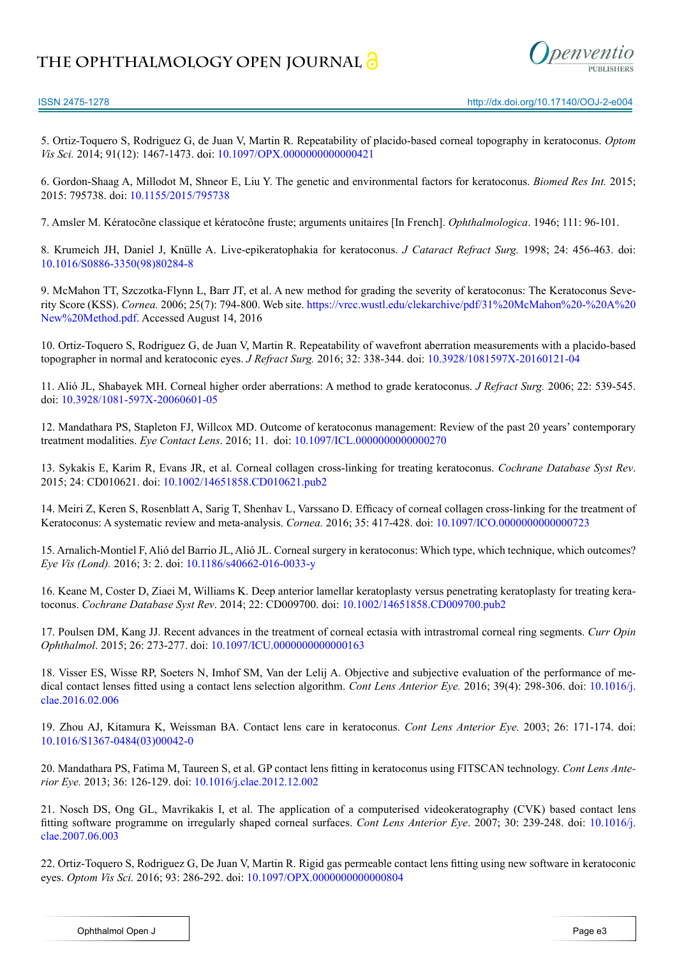## **THE OPHTHALMOLOGY OPEN JOURNAL**



<span id="page-2-3"></span>5. Ortiz-Toquero S, Rodriguez G, de Juan V, Martin R. Repeatability of placido-based corneal topography in keratoconus. *Optom Vis Sci.* 2014; 91(12): 1467-1473. doi: [10.1097/OPX.0000000000000421](http://www.ncbi.nlm.nih.gov/pubmed/25343684)

<span id="page-2-0"></span>6. Gordon-Shaag A, Millodot M, Shneor E, Liu Y. The genetic and environmental factors for keratoconus. *Biomed Res Int.* 2015; 2015: 795738. doi: [10.1155/2015/795738](http://www.ncbi.nlm.nih.gov/pubmed/26075261)

<span id="page-2-1"></span>7. Amsler M. Kératocõne classique et kératocône fruste; arguments unitaires [In French]. *Ophthalmologica*. 1946; 111: 96-101.

8. Krumeich JH, Daniel J, Knülle A. Live-epikeratophakia for keratoconus. *J Cataract Refract Surg.* 1998; 24: 456-463. doi: [10.1016/S0886-3350\(98\)80284-8](http://www.jcrsjournal.org/article/S0886-3350%2898%2980284-8/abstract)

<span id="page-2-2"></span>9. McMahon TT, Szczotka-Flynn L, Barr JT, et al. A new method for grading the severity of keratoconus: The Keratoconus Severity Score (KSS). *Cornea.* 2006; 25(7): 794-800. Web site. [https://vrcc.wustl.edu/clekarchive/pdf/31%20McMahon%20-%20A%20](https://vrcc.wustl.edu/clekarchive/pdf/31%20McMahon%20-%20A%20New%20Method.pdf) [New%20Method.pdf](https://vrcc.wustl.edu/clekarchive/pdf/31%20McMahon%20-%20A%20New%20Method.pdf). Accessed August 14, 2016

<span id="page-2-4"></span>10. Ortiz-Toquero S, Rodriguez G, de Juan V, Martin R. Repeatability of wavefront aberration measurements with a placido-based topographer in normal and keratoconic eyes. *J Refract Surg.* 2016; 32: 338-344. doi: [10.3928/1081597X-20160121-04](http://www.ncbi.nlm.nih.gov/pubmed/27163620)

11. Alió JL, Shabayek MH. Corneal higher order aberrations: A method to grade keratoconus. *J Refract Surg.* 2006; 22: 539-545. doi: [10.3928/1081-597X-20060601-05](http://www.healio.com/ophthalmology/journals/jrs/2006-6-22-6/%257B186453c6-708f-4b94-8582-4f850d39e6f2%257D/corneal-higher-order-aberrations-a-method-to-grade-keratoconus)

<span id="page-2-5"></span>12. Mandathara PS, Stapleton FJ, Willcox MD. Outcome of keratoconus management: Review of the past 20 years' contemporary treatment modalities. *Eye Contact Lens*. 2016; 11. doi: [10.1097/ICL.0000000000000270](https://research.unsw.edu.au/people/professor-fiona-jane-stapleton/publications)

<span id="page-2-6"></span>13. Sykakis E, Karim R, Evans JR, et al. Corneal collagen cross-linking for treating keratoconus. *Cochrane Database Syst Rev*. 2015; 24: CD010621. doi: [10.1002/14651858.CD010621.pub2](http://www.ncbi.nlm.nih.gov/pubmed/25803325)

<span id="page-2-7"></span>14. Meiri Z, Keren S, Rosenblatt A, Sarig T, Shenhav L, Varssano D. Efficacy of corneal collagen cross-linking for the treatment of Keratoconus: A systematic review and meta-analysis. *Cornea.* 2016; 35: 417-428. doi: [10.1097/ICO.0000000000000723](http://www.ncbi.nlm.nih.gov/pubmed/26751990)

<span id="page-2-8"></span>15. Arnalich-Montiel F, Alió del Barrio JL, Alió JL. Corneal surgery in keratoconus: Which type, which technique, which outcomes? *Eye Vis (Lond).* 2016; 3: 2. doi[: 10.1186/s40662-016-0033-y](https://eandv.biomedcentral.com/articles/10.1186/s40662-016-0033-y)

<span id="page-2-9"></span>16. Keane M, Coster D, Ziaei M, Williams K. Deep anterior lamellar keratoplasty versus penetrating keratoplasty for treating keratoconus. *Cochrane Database Syst Rev*. 2014; 22: CD009700. doi[: 10.1002/14651858.CD009700.pub2](http://www.ncbi.nlm.nih.gov/pubmed/25055058)

<span id="page-2-10"></span>17. Poulsen DM, Kang JJ. Recent advances in the treatment of corneal ectasia with intrastromal corneal ring segments. *Curr Opin Ophthalmol*. 2015; 26: 273-277. doi: [10.1097/ICU.0000000000000163](http://www.ncbi.nlm.nih.gov/pubmed/26058024)

<span id="page-2-11"></span>18. Visser ES, Wisse RP, Soeters N, Imhof SM, Van der Lelij A. Objective and subjective evaluation of the performance of medical contact lenses fitted using a contact lens selection algorithm. *Cont Lens Anterior Eye.* 2016; 39(4): 298-306. doi: [10.1016/j.](http://www.ncbi.nlm.nih.gov/pubmed/%3Fterm%3DObjective%2Band%2Bsubjective%2Bevaluation%2Bof%2Bthe%2Bperformance%2Bof%2Bmedical%2Bcontact%2Blenses%2Bfitted%2Busing%2Ba%2Bcontact%2Blens%2Bselection%2Balgorithm) [clae.2016.02.006](http://www.ncbi.nlm.nih.gov/pubmed/%3Fterm%3DObjective%2Band%2Bsubjective%2Bevaluation%2Bof%2Bthe%2Bperformance%2Bof%2Bmedical%2Bcontact%2Blenses%2Bfitted%2Busing%2Ba%2Bcontact%2Blens%2Bselection%2Balgorithm) 

<span id="page-2-12"></span>19. Zhou AJ, Kitamura K, Weissman BA. Contact lens care in keratoconus. *Cont Lens Anterior Eye.* 2003; 26: 171-174. doi: [10.1016/S1367-0484\(03\)00042-0](http://www.contactlensjournal.com/article/S1367-0484%2803%2900042-0/abstract)

<span id="page-2-13"></span>20. Mandathara PS, Fatima M, Taureen S, et al. GP contact lens fitting in keratoconus using FITSCAN technology. *Cont Lens Anterior Eye.* 2013; 36: 126-129. doi: [10.1016/j.clae.2012.12.002](http://www.ncbi.nlm.nih.gov/pubmed/23276713)

21. Nosch DS, Ong GL, Mavrikakis I, et al. The application of a computerised videokeratography (CVK) based contact lens fitting software programme on irregularly shaped corneal surfaces. *Cont Lens Anterior Eye*. 2007; 30: 239-248. doi: [10.1016/j.](http://www.contactlensjournal.com/article/S1367-0484%2807%2900073-2/abstract) [clae.2007.06.003](http://www.contactlensjournal.com/article/S1367-0484%2807%2900073-2/abstract) 

<span id="page-2-14"></span>22. Ortiz-Toquero S, Rodriguez G, De Juan V, Martin R. Rigid gas permeable contact lens fitting using new software in keratoconic eyes. *Optom Vis Sci.* 2016; 93: 286-292. doi: [10.1097/OPX.0000000000000804](http://www.ncbi.nlm.nih.gov/pubmed/26760585)